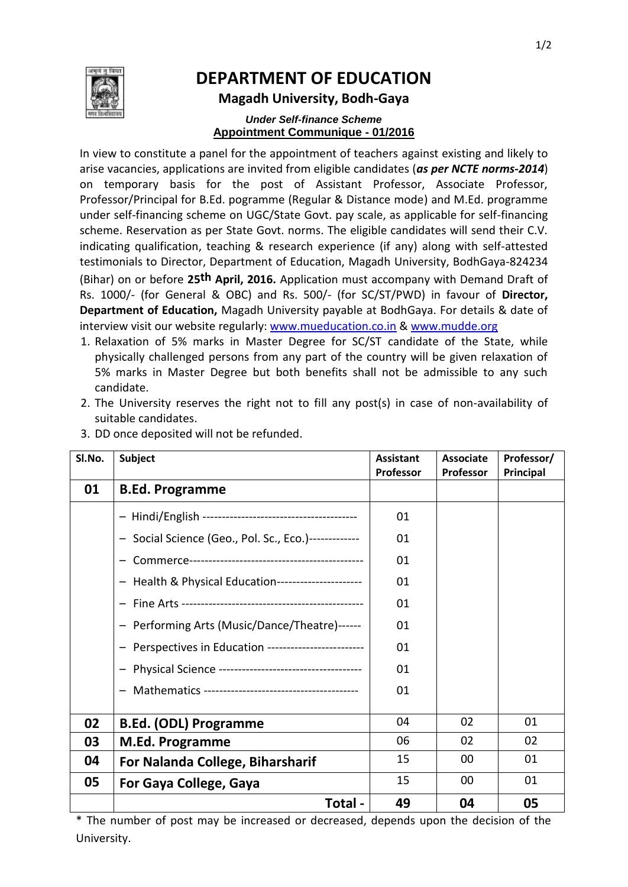

# **DEPARTMENT OF EDUCATION**

#### **Magadh University, Bodh-Gaya**

#### *Under Self-finance Scheme* **Appointment Communique - 01/2016**

In view to constitute a panel for the appointment of teachers against existing and likely to arise vacancies, applications are invited from eligible candidates (*as per NCTE norms-2014*) on temporary basis for the post of Assistant Professor, Associate Professor, Professor/Principal for B.Ed. pogramme (Regular & Distance mode) and M.Ed. programme under self-financing scheme on UGC/State Govt. pay scale, as applicable for self-financing scheme. Reservation as per State Govt. norms. The eligible candidates will send their C.V. indicating qualification, teaching & research experience (if any) along with self-attested testimonials to Director, Department of Education, Magadh University, BodhGaya-824234 (Bihar) on or before **25th April, 2016.** Application must accompany with Demand Draft of Rs. 1000/- (for General & OBC) and Rs. 500/- (for SC/ST/PWD) in favour of **Director, Department of Education,** Magadh University payable at BodhGaya. For details & date of interview visit our website regularly: www.mueducation.co.in & www.mudde.org

- 1. Relaxation of 5% marks in Master Degree for SC/ST candidate of the State, while physically challenged persons from any part of the country will be given relaxation of 5% marks in Master Degree but both benefits shall not be admissible to any such candidate.
- 2. The University reserves the right not to fill any post(s) in case of non-availability of suitable candidates.

| SI.No. | <b>Subject</b>                                        | <b>Assistant</b><br><b>Professor</b> | <b>Associate</b><br><b>Professor</b> | Professor/<br>Principal |
|--------|-------------------------------------------------------|--------------------------------------|--------------------------------------|-------------------------|
| 01     | <b>B.Ed. Programme</b>                                |                                      |                                      |                         |
|        |                                                       | 01                                   |                                      |                         |
|        | - Social Science (Geo., Pol. Sc., Eco.)-------------  | 01                                   |                                      |                         |
|        |                                                       | 01                                   |                                      |                         |
|        | - Health & Physical Education----------------------   | 01                                   |                                      |                         |
|        |                                                       | 01                                   |                                      |                         |
|        | - Performing Arts (Music/Dance/Theatre)------         | 01                                   |                                      |                         |
|        | - Perspectives in Education ------------------------- | 01                                   |                                      |                         |
|        |                                                       | 01                                   |                                      |                         |
|        |                                                       | 01                                   |                                      |                         |
|        |                                                       | 04                                   | 02                                   | 01                      |
| 02     | <b>B.Ed. (ODL) Programme</b>                          |                                      |                                      |                         |
| 03     | M.Ed. Programme                                       | 06                                   | 02                                   | 02                      |
| 04     | For Nalanda College, Biharsharif                      | 15                                   | 00                                   | 01                      |
| 05     | For Gaya College, Gaya                                | 15                                   | 00                                   | 01                      |
|        | Total -                                               | 49                                   | 04                                   | 05                      |

3. DD once deposited will not be refunded.

\* The number of post may be increased or decreased, depends upon the decision of the University.